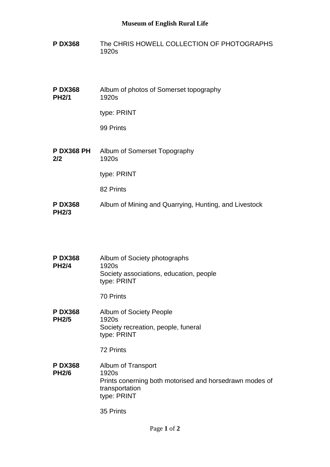## **Museum of English Rural Life**

- **P DX368** The CHRIS HOWELL COLLECTION OF PHOTOGRAPHS 1920s
- **P DX368 PH2/1** Album of photos of Somerset topography 1920s

type: PRINT

99 Prints

**P DX368 PH 2/2** Album of Somerset Topography 1920s

type: PRINT

82 Prints

**P DX368 PH2/3** Album of Mining and Quarrying, Hunting, and Livestock

| <b>PDX368</b><br><b>PH2/4</b>  | Album of Society photographs<br>1920s<br>Society associations, education, people<br>type: PRINT                         |
|--------------------------------|-------------------------------------------------------------------------------------------------------------------------|
|                                | <b>70 Prints</b>                                                                                                        |
| <b>P DX368</b><br><b>PH2/5</b> | Album of Society People<br>1920s<br>Society recreation, people, funeral<br>type: PRINT                                  |
|                                | 72 Prints                                                                                                               |
| <b>PDX368</b><br><b>PH2/6</b>  | Album of Transport<br>1920s<br>Prints conerning both motorised and horsedrawn modes of<br>transportation<br>type: PRINT |
|                                | 35 Prints                                                                                                               |